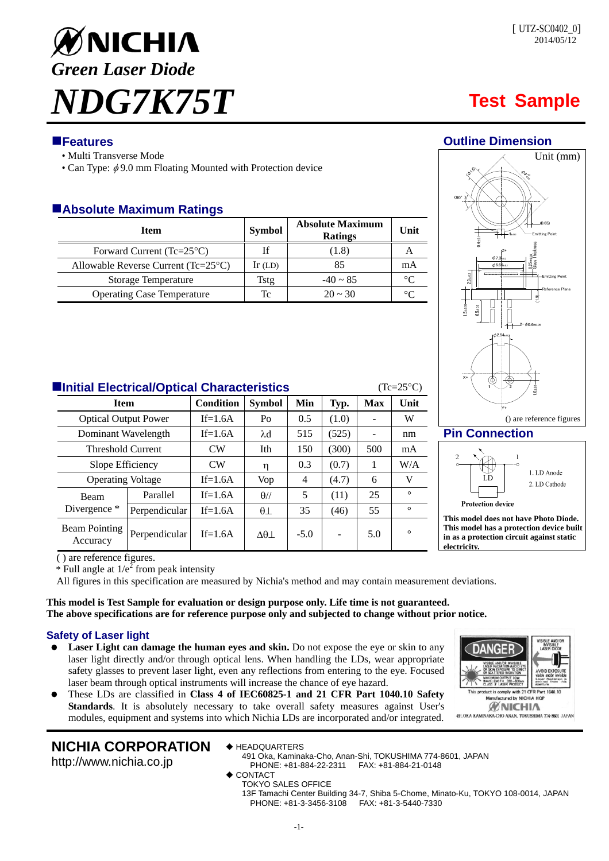

## **Features Outline Dimension**

- Multi Transverse Mode
- Can Type:  $\phi$ 9.0 mm Floating Mounted with Protection device

## **Absolute Maximum Ratings**

| <b>Item</b>                                    | <b>Symbol</b> | <b>Absolute Maximum</b><br><b>Ratings</b> | Unit    |
|------------------------------------------------|---------------|-------------------------------------------|---------|
| Forward Current $(Tc=25^{\circ}C)$             | If            | (1.8)                                     |         |
| Allowable Reverse Current ( $Tc=25^{\circ}C$ ) | $Ir$ (LD)     | 85                                        | mA      |
| <b>Storage Temperature</b>                     | Tstg          | $-40 \sim 85$                             | °∩      |
| <b>Operating Case Temperature</b>              | Tc            | $20 \approx 30$                           | $\circ$ |



### **Pin Connection**



**This model does not have Photo Diode. This model has a protection device built in as a protection circuit against static electricity.** 

( ) are reference figures.

\* Full angle at  $1/e^2$  from peak intensity

All figures in this specification are measured by Nichia's method and may contain measurement deviations.

**This model is Test Sample for evaluation or design purpose only. Life time is not guaranteed. The above specifications are for reference purpose only and subjected to change without prior notice.** 

## **Safety of Laser light**

- **Laser Light can damage the human eyes and skin.** Do not expose the eye or skin to any laser light directly and/or through optical lens. When handling the LDs, wear appropriate safety glasses to prevent laser light, even any reflections from entering to the eye. Focused laser beam through optical instruments will increase the chance of eye hazard.
	- These LDs are classified in **Class 4 of IEC60825-1 and 21 CFR Part 1040.10 Safety Standards**. It is absolutely necessary to take overall safety measures against User's modules, equipment and systems into which Nichia LDs are incorporated and/or integrated.

# ANGE mply with 21 CFR Par<br>tured by NICHIA HQI ct is comply **WNICHIA** 491. OKA KAMINAKA CHO ANAN, TOKUSHIMA 774-8601 JAPAN

## **NICHIA CORPORATION**

http://www.nichia.co.jp

◆ HEADQUARTERS

491 Oka, Kaminaka-Cho, Anan-Shi, TOKUSHIMA 774-8601, JAPAN PHONE: +81-884-22-2311

- ◆ CONTACT
- TOKYO SALES OFFICE

13F Tamachi Center Building 34-7, Shiba 5-Chome, Minato-Ku, TOKYO 108-0014, JAPAN PHONE: +81-3-3456-3108 FAX: +81-3-5440-7330

## **Item Condition Symbol Min Typ. Max Unit** Optical Output Power  $\vert$  If=1.6A  $\vert$  Po  $\vert$  0.5  $\vert$  (1.0)  $\vert$  - W

| Dominant Wavelength      |                                  | $If=1.6A$     | $\lambda$ d | 515                | (525)  |       | nm  |          |
|--------------------------|----------------------------------|---------------|-------------|--------------------|--------|-------|-----|----------|
| <b>Threshold Current</b> |                                  | CW            | Ith         | 150                | (300)  | 500   | mA  |          |
| Slope Efficiency         |                                  | CW            |             | 0.3                | (0.7)  |       | W/A |          |
|                          | <b>Operating Voltage</b>         |               | $If=1.6A$   | Vop                | 4      | (4.7) | 6   | v        |
|                          | Beam                             | Parallel      | $If=1.6A$   | $\theta$ //        | 5      | (11)  | 25  | $\circ$  |
|                          | Divergence *                     | Perpendicular | $If=1.6A$   | $\theta$ $\perp$   | 35     | (46)  | 55  | $\Omega$ |
|                          | <b>Beam Pointing</b><br>Accuracy | Perpendicular | $If=1.6A$   | $\Delta\theta\bot$ | $-5.0$ |       | 5.0 | $\circ$  |

**Initial Electrical/Optical Characteristics** (Tc=25<sup>o</sup>C)